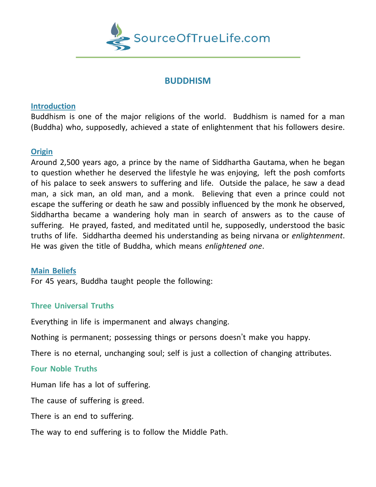

## **BUDDHISM**

#### **Introduction**

Buddhism is one of the major religions of the world. Buddhism is named for a man (Buddha) who, supposedly, achieved a state of enlightenment that his followers desire.

## **Origin**

Around 2,500 years ago, a prince by the name of Siddhartha Gautama, when he began to question whether he deserved the lifestyle he was enjoying, left the posh comforts of his palace to seek answers to suffering and life. Outside the palace, he saw a dead man, a sick man, an old man, and a monk. Believing that even a prince could not escape the suffering or death he saw and possibly influenced by the monk he observed, Siddhartha became a wandering holy man in search of answers as to the cause of suffering. He prayed, fasted, and meditated until he, supposedly, understood the basic truths of life. Siddhartha deemed his understanding as being nirvana or *enlightenment*. He was given the title of Buddha, which means *enlightened one*.

## **Main Beliefs**

For 45 years, Buddha taught people the following:

# **Three Universal Truths**

Everything in life is impermanent and always changing.

Nothing is permanent; possessing things or persons doesn't make you happy.

There is no eternal, unchanging soul; self is just a collection of changing attributes.

## **Four Noble Truths**

Human life has a lot of suffering.

The cause of suffering is greed.

There is an end to suffering.

The way to end suffering is to follow the Middle Path.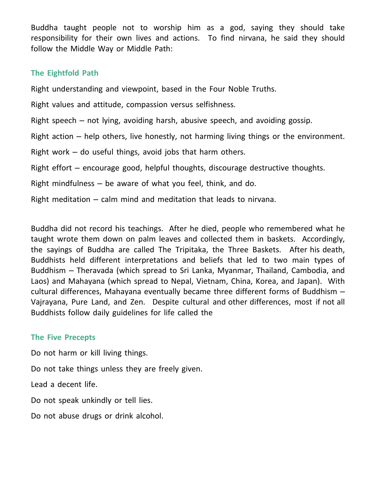Buddha taught people not to worship him as a god, saying they should take responsibility for their own lives and actions. To find nirvana, he said they should follow the Middle Way or Middle Path:

## **The Eightfold Path**

Right understanding and viewpoint, based in the Four Noble Truths.

Right values and attitude, compassion versus selfishness.

Right speech – not lying, avoiding harsh, abusive speech, and avoiding gossip.

Right action – help others, live honestly, not harming living things or the environment.

Right work – do useful things, avoid jobs that harm others.

Right effort – encourage good, helpful thoughts, discourage destructive thoughts.

Right mindfulness – be aware of what you feel, think, and do.

Right meditation – calm mind and meditation that leads to nirvana.

Buddha did not record his teachings. After he died, people who remembered what he taught wrote them down on palm leaves and collected them in baskets. Accordingly, the sayings of Buddha are called The Tripitaka, the Three Baskets. After his death, Buddhists held different interpretations and beliefs that led to two main types of Buddhism – Theravada (which spread to Sri Lanka, Myanmar, Thailand, Cambodia, and Laos) and Mahayana (which spread to Nepal, Vietnam, China, Korea, and Japan). With cultural differences, Mahayana eventually became three different forms of Buddhism – Vajrayana, Pure Land, and Zen. Despite cultural and other differences, most if not all Buddhists follow daily guidelines for life called the

## **The Five Precepts**

Do not harm or kill living things.

Do not take things unless they are freely given.

Lead a decent life.

Do not speak unkindly or tell lies.

Do not abuse drugs or drink alcohol.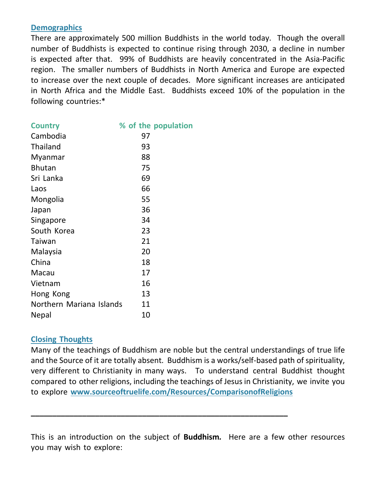#### **Demographics**

There are approximately 500 million Buddhists in the world today. Though the overall number of Buddhists is expected to continue rising through 2030, a decline in number is expected after that. 99% of Buddhists are heavily concentrated in the Asia-Pacific region. The smaller numbers of Buddhists in North America and Europe are expected to increase over the next couple of decades. More significant increases are anticipated in North Africa and the Middle East. Buddhists exceed 10% of the population in the following countries:\*

| <b>Country</b>           | % of the population |
|--------------------------|---------------------|
| Cambodia                 | 97                  |
| Thailand                 | 93                  |
| Myanmar                  | 88                  |
| <b>Bhutan</b>            | 75                  |
| Sri Lanka                | 69                  |
| Laos                     | 66                  |
| Mongolia                 | 55                  |
| Japan                    | 36                  |
| Singapore                | 34                  |
| South Korea              | 23                  |
| Taiwan                   | 21                  |
| Malaysia                 | 20                  |
| China                    | 18                  |
| Macau                    | 17                  |
| Vietnam                  | 16                  |
| Hong Kong                | 13                  |
| Northern Mariana Islands | 11                  |
| Nepal                    | 10                  |

## **Closing Thoughts**

Many of the teachings of Buddhism are noble but the central understandings of true life and the Source of it are totally absent. Buddhism is a works/self-based path of spirituality, very different to Christianity in many ways. To understand central Buddhist thought compared to other religions, including the teachings of Jesus in Christianity, we invite you to explore **[www.sourceoftruelife.com/Resources/ComparisonofReligions](http://www.sourceoftruelife.com/Resources/ComparisonofReligions)**

This is an introduction on the subject of **Buddhism***.* Here are a few other resources you may wish to explore:

**\_\_\_\_\_\_\_\_\_\_\_\_\_\_\_\_\_\_\_\_\_\_\_\_\_\_\_\_\_\_\_\_\_\_\_\_\_\_\_\_\_\_\_\_\_\_\_\_\_\_\_\_\_\_\_\_\_\_\_\_**